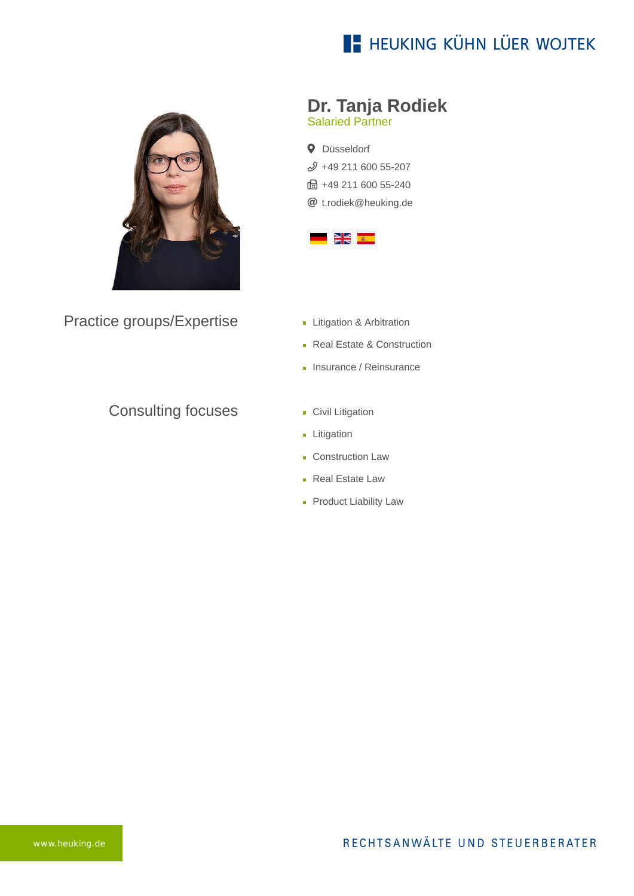## **E- HEUKING KÜHN LÜER WOJTEK**



Practice groups/Expertise

## Consulting focuses

## **Dr. Tanja Rodiek** Salaried Partner

**Q** Düsseldorf [+49 211 600 55-207](tel:+4921160055207) **B** +49 211 600 55-240 [t.rodiek@heuking.de](mailto:t.rodiek@heuking.de?subject=Contact%20via%20website%20heuking.de)



- **Litigation & Arbitration**
- Real Estate & Construction
- **Insurance / Reinsurance**
- **Civil Litigation**
- **Litigation**
- **Construction Law**
- Real Estate Law
- **Product Liability Law**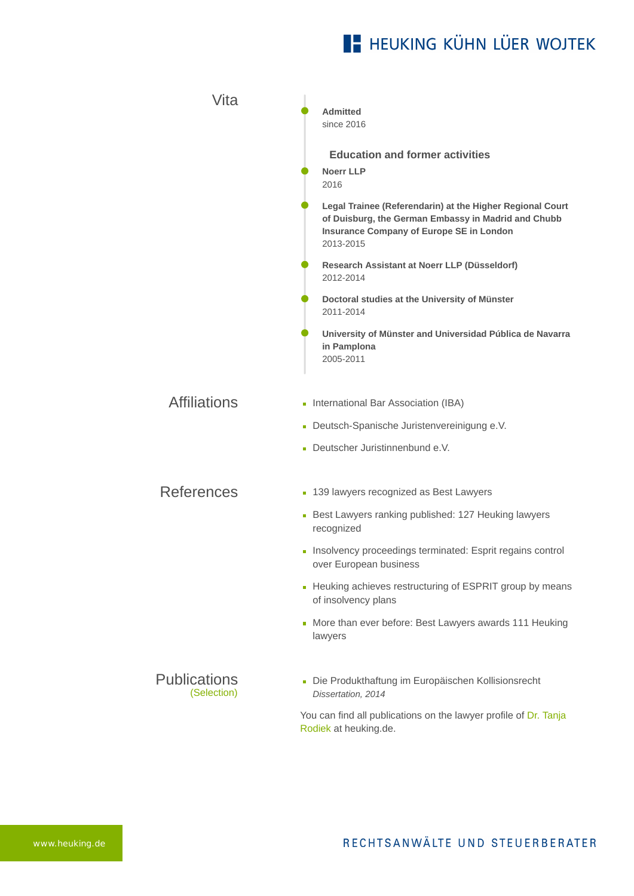## **E- HEUKING KÜHN LÜER WOJTEK**

| Vita                               | <b>Admitted</b><br>since 2016                                                                                                                                                    |
|------------------------------------|----------------------------------------------------------------------------------------------------------------------------------------------------------------------------------|
|                                    | <b>Education and former activities</b>                                                                                                                                           |
|                                    | <b>Noerr LLP</b><br>2016                                                                                                                                                         |
|                                    | Legal Trainee (Referendarin) at the Higher Regional Court<br>of Duisburg, the German Embassy in Madrid and Chubb<br><b>Insurance Company of Europe SE in London</b><br>2013-2015 |
|                                    | Research Assistant at Noerr LLP (Düsseldorf)<br>2012-2014                                                                                                                        |
|                                    | Doctoral studies at the University of Münster<br>2011-2014                                                                                                                       |
|                                    | University of Münster and Universidad Pública de Navarra<br>in Pamplona<br>2005-2011                                                                                             |
| <b>Affiliations</b>                | International Bar Association (IBA)                                                                                                                                              |
|                                    | - Deutsch-Spanische Juristenvereinigung e.V.                                                                                                                                     |
|                                    | Deutscher Juristinnenbund e.V.                                                                                                                                                   |
| <b>References</b>                  | • 139 lawyers recognized as Best Lawyers                                                                                                                                         |
|                                    | Best Lawyers ranking published: 127 Heuking lawyers<br>recognized                                                                                                                |
|                                    | Insolvency proceedings terminated: Esprit regains control<br>over European business                                                                                              |
|                                    | - Heuking achieves restructuring of ESPRIT group by means<br>of insolvency plans                                                                                                 |
|                                    | More than ever before: Best Lawyers awards 111 Heuking<br>lawyers                                                                                                                |
| <b>Publications</b><br>(Selection) | Die Produkthaftung im Europäischen Kollisionsrecht<br>Dissertation, 2014                                                                                                         |
|                                    | You can find all publications on the lawyer profile of Dr. Tanja<br>Rodiek at heuking.de.                                                                                        |